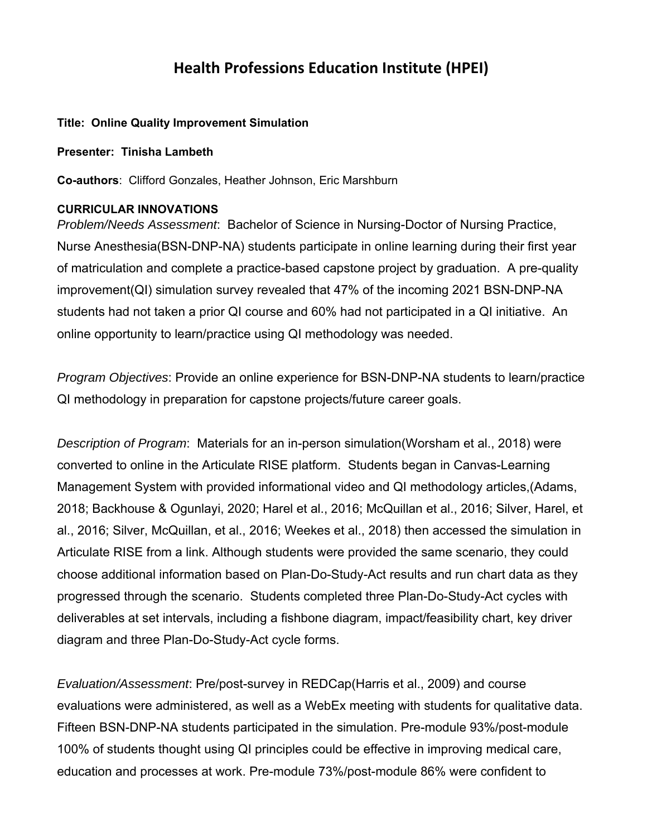# **Health Professions Education Institute (HPEI)**

## **Title: Online Quality Improvement Simulation**

#### **Presenter: Tinisha Lambeth**

**Co-authors**: Clifford Gonzales, Heather Johnson, Eric Marshburn

### **CURRICULAR INNOVATIONS**

*Problem/Needs Assessment*: Bachelor of Science in Nursing-Doctor of Nursing Practice, Nurse Anesthesia(BSN-DNP-NA) students participate in online learning during their first year of matriculation and complete a practice-based capstone project by graduation. A pre-quality improvement(QI) simulation survey revealed that 47% of the incoming 2021 BSN-DNP-NA students had not taken a prior QI course and 60% had not participated in a QI initiative. An online opportunity to learn/practice using QI methodology was needed.

*Program Objectives*: Provide an online experience for BSN-DNP-NA students to learn/practice QI methodology in preparation for capstone projects/future career goals.

*Description of Program*: Materials for an in-person simulation(Worsham et al., 2018) were converted to online in the Articulate RISE platform. Students began in Canvas-Learning Management System with provided informational video and QI methodology articles,(Adams, 2018; Backhouse & Ogunlayi, 2020; Harel et al., 2016; McQuillan et al., 2016; Silver, Harel, et al., 2016; Silver, McQuillan, et al., 2016; Weekes et al., 2018) then accessed the simulation in Articulate RISE from a link. Although students were provided the same scenario, they could choose additional information based on Plan-Do-Study-Act results and run chart data as they progressed through the scenario. Students completed three Plan-Do-Study-Act cycles with deliverables at set intervals, including a fishbone diagram, impact/feasibility chart, key driver diagram and three Plan-Do-Study-Act cycle forms.

*Evaluation/Assessment*: Pre/post-survey in REDCap(Harris et al., 2009) and course evaluations were administered, as well as a WebEx meeting with students for qualitative data. Fifteen BSN-DNP-NA students participated in the simulation. Pre-module 93%/post-module 100% of students thought using QI principles could be effective in improving medical care, education and processes at work. Pre-module 73%/post-module 86% were confident to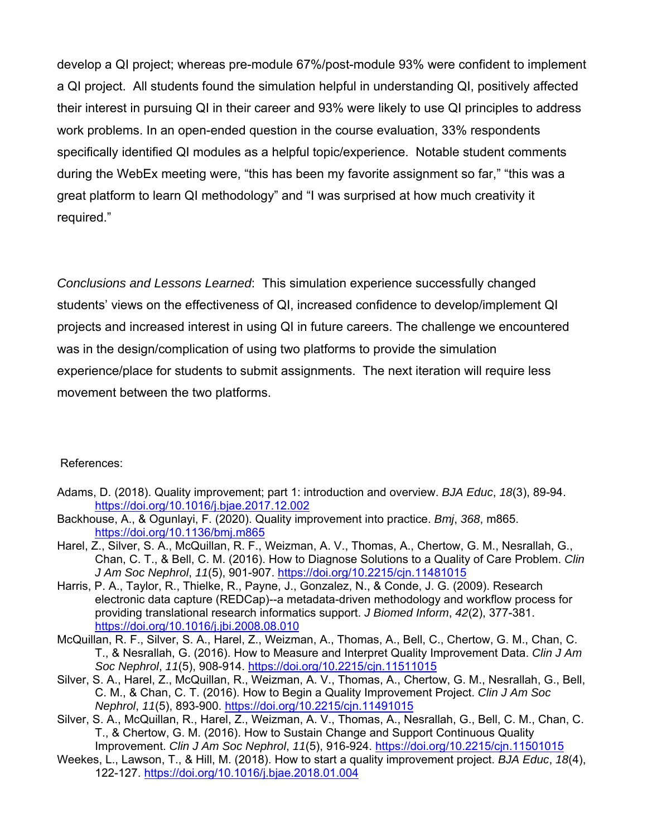develop a QI project; whereas pre-module 67%/post-module 93% were confident to implement a QI project. All students found the simulation helpful in understanding QI, positively affected their interest in pursuing QI in their career and 93% were likely to use QI principles to address work problems. In an open-ended question in the course evaluation, 33% respondents specifically identified QI modules as a helpful topic/experience. Notable student comments during the WebEx meeting were, "this has been my favorite assignment so far," "this was a great platform to learn QI methodology" and "I was surprised at how much creativity it required."

*Conclusions and Lessons Learned*: This simulation experience successfully changed students' views on the effectiveness of QI, increased confidence to develop/implement QI projects and increased interest in using QI in future careers. The challenge we encountered was in the design/complication of using two platforms to provide the simulation experience/place for students to submit assignments. The next iteration will require less movement between the two platforms.

#### References:

- Adams, D. (2018). Quality improvement; part 1: introduction and overview. *BJA Educ*, *18*(3), 89-94. https://doi.org/10.1016/j.bjae.2017.12.002
- Backhouse, A., & Ogunlayi, F. (2020). Quality improvement into practice. *Bmj*, *368*, m865. https://doi.org/10.1136/bmj.m865
- Harel, Z., Silver, S. A., McQuillan, R. F., Weizman, A. V., Thomas, A., Chertow, G. M., Nesrallah, G., Chan, C. T., & Bell, C. M. (2016). How to Diagnose Solutions to a Quality of Care Problem. *Clin J Am Soc Nephrol*, *11*(5), 901-907. https://doi.org/10.2215/cjn.11481015
- Harris, P. A., Taylor, R., Thielke, R., Payne, J., Gonzalez, N., & Conde, J. G. (2009). Research electronic data capture (REDCap)--a metadata-driven methodology and workflow process for providing translational research informatics support. *J Biomed Inform*, *42*(2), 377-381. https://doi.org/10.1016/j.jbi.2008.08.010
- McQuillan, R. F., Silver, S. A., Harel, Z., Weizman, A., Thomas, A., Bell, C., Chertow, G. M., Chan, C. T., & Nesrallah, G. (2016). How to Measure and Interpret Quality Improvement Data. *Clin J Am Soc Nephrol*, *11*(5), 908-914. https://doi.org/10.2215/cjn.11511015
- Silver, S. A., Harel, Z., McQuillan, R., Weizman, A. V., Thomas, A., Chertow, G. M., Nesrallah, G., Bell, C. M., & Chan, C. T. (2016). How to Begin a Quality Improvement Project. *Clin J Am Soc Nephrol*, *11*(5), 893-900. https://doi.org/10.2215/cjn.11491015
- Silver, S. A., McQuillan, R., Harel, Z., Weizman, A. V., Thomas, A., Nesrallah, G., Bell, C. M., Chan, C. T., & Chertow, G. M. (2016). How to Sustain Change and Support Continuous Quality Improvement. *Clin J Am Soc Nephrol*, *11*(5), 916-924. https://doi.org/10.2215/cjn.11501015
- Weekes, L., Lawson, T., & Hill, M. (2018). How to start a quality improvement project. *BJA Educ*, *18*(4), 122-127. https://doi.org/10.1016/j.bjae.2018.01.004